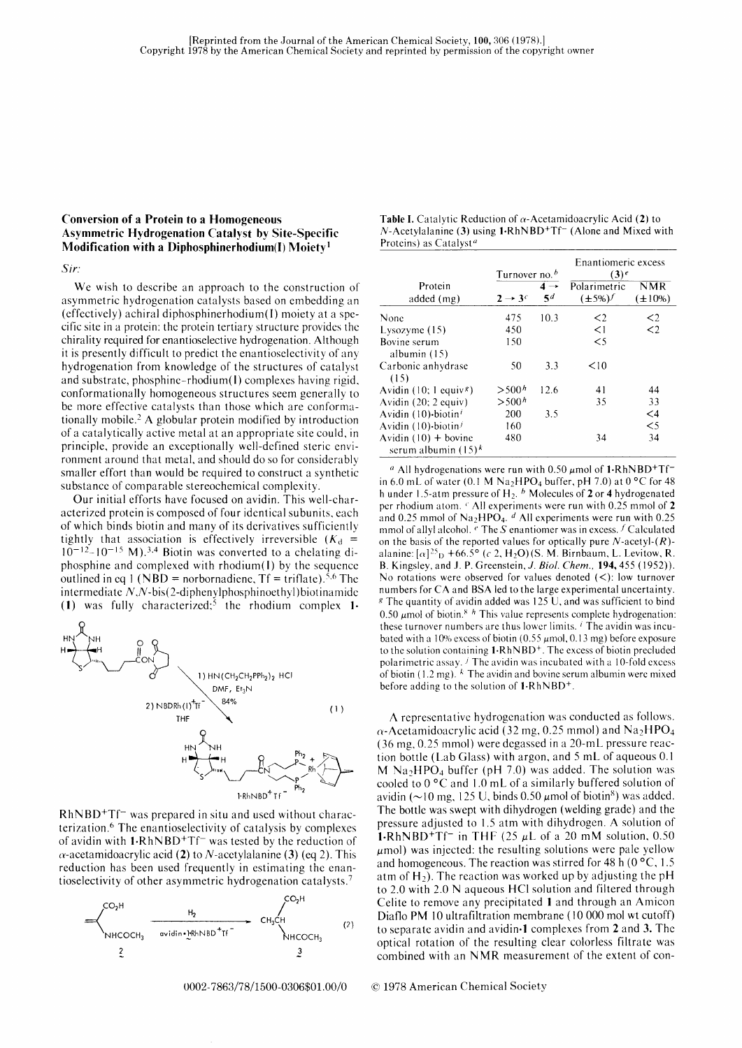# Conversion of a Protein to a Homogeneous Asymmetric [{ydrogenation Catalyst by Site-Specific Modification with a Diphosphinerhodium $(I)$  Moiety<sup>1</sup>

#### Sir.'

We wish to describe an approach to the construction of asymmetric hydrogenation catalysts based on embedding an (effectively) achiral diphosphinerhodium(l) moiety at a specific site in a protein: the protein tertiary structure provides thc chirality required for enantioselective hydrogenation. Although it is presently difficult to predict the enantioselectivity of any hydrogenation from knowledge of the structures of catalyst and substratc, phosphine-rhodium( l) complexes having rigid. conformationally homogeneous structures seem generally to be more effective catalysts than those which are conformationally mobile .2 A globular protein modified by introduction of a catalytically active metal at an appropriate sitc could, in principle, provide an exceptionally wcll-defined steric environment around that mctal. and should do so for considerably smaller effort than would be required to construct a synthetic substance of comparable stereochemical complexity.

Our initial efforts have focused on avidin. This well-characterized protein is composed of four identical subunits, each of which binds biotin and many of its dcrivativcs sufficiently' tightly that association is effectively irreversible  $(K_d =$  $10^{-12}$ -10<sup>-15</sup> M).<sup>3,4</sup> Biotin was converted to a chelating diphosphine and complexed with rhodium(I) by the sequence outlined in eq 1 (NBD = norbornadiene,  $Tf = \text{triflate}$ ).<sup>5,6</sup> The intermediate  $N$ , $N$ -bis(2-diphenylphosphinoethyl) biotinamide (1) was fully characterized;<sup>5</sup> the rhodium complex 1.



 $RhNBD+TTf$  was prepared in situ and used without characterization.6 The enantioselectivity of catalysis by complexes of avidin with 1-RhNBD<sup>+</sup>Tf<sup>-</sup> was tested by the reduction of  $\alpha$ -acetamidoacrylic acid (2) to N-acetylalanine (3) (eq 2). This reduction has been used frequently in estimating the enantioselectivity of other asymmetric hydrogenation catalysts.<sup>7</sup>



| <b>Table I.</b> Catalytic Reduction of $\alpha$ -Acetamidoacrylic Acid (2) to           |
|-----------------------------------------------------------------------------------------|
| $N$ -Acetylalanine (3) using 1.RhNBD <sup>+</sup> Tf <sup>-</sup> (Alone and Mixed with |
| Proteins) as Catalyst <sup><i>a</i></sup>                                               |

|                                                  | Turnover no. $b$    |                       | Enantiomeric excess<br>$(3)^e$ |                            |
|--------------------------------------------------|---------------------|-----------------------|--------------------------------|----------------------------|
| Protein<br>added (mg)                            | $2 \rightarrow 3^c$ | $4 \rightarrow$<br>5d | Polarimetric<br>$(\pm 5\%) f$  | <b>NMR</b><br>$(\pm 10\%)$ |
| None                                             | 475                 | 10.3                  | $\leq$ 2                       | $\leq$ 2                   |
| Lysozyme (15)                                    | 450                 |                       | $\leq$ 1                       | $\leq$ 2                   |
| Bovine serum<br>albumin (15)                     | 150                 |                       | $\leq$ 5                       |                            |
| Carbonic anhydrase<br>(15)                       | 50                  | 3.3                   | < 10                           |                            |
| Avidin (10; 1 equiv <sup>g</sup> )               | > 500 <sup>h</sup>  | 12.6                  | 41                             | 44                         |
| Avidin (20; 2 equiv)                             | > 500 <sup>h</sup>  |                       | 35                             | 33                         |
| Avidin (10)-biotin <sup>i</sup>                  | 200                 | 3.5                   |                                | $\leq$ 4                   |
| Avidin (10)-biotin <sup>j</sup>                  | 160                 |                       |                                | $\leq$ 5                   |
| Avidin $(10)$ + bovine<br>serum albumin $(15)^k$ | 480                 |                       | 34                             | 34                         |

<sup>*a*</sup> All hydrogenations were run with 0.50  $\mu$ mol of 1.RhNBD<sup>+</sup>Tf<sup>-</sup> in 6.0 mL of water (0.1 M Na<sub>2</sub>HPO<sub>4</sub> buffer, pH 7.0) at 0  $^{\circ}$ C for 48 h under 1.5-atm pressure of  $H_2$ .  $^b$  Molecules of 2 or 4 hydrogenated pcr rhodium atom. ' All experiments wcre run with 0.25 mmol of 2 and 0.25 mmol of Na<sub>2</sub>HPO<sub>4</sub>.  $d$  All experiments were run with 0.25 mmol of allyl alcohol.  $\epsilon$  The S enantiomer was in excess.  $\epsilon$  Calculated on the basis of the reported values for optically pure  $N$ -acetyl- $(R)$ alanine:  $\lceil \alpha \rceil^{25}$  +66.5° (c 2, H<sub>2</sub>O)(S. M. Birnbaum, L. Levitow, R. B. Kingsley, and J. P. Greenstein, J. Biol. Chem., 194,455 ( 1952)). No rotations were observed for values denoted  $(<)$ : low turnover numbers for CA and BSA led to the large experimental uncertainty.  $s$  The quantity of avidin added was 125 U, and was sufficient to bind 0.50  $\mu$ mol of biotin.<sup>8</sup> <sup>h</sup> This value represents complete hydrogenation: these turnover numbers are thus lower limits.  $\ell$  The avidin was incubated with a 10% excess of biotin  $(0.55 \mu \text{mol}, 0.13 \text{ mg})$  before exposure to the solution containing  $1-RhNBD<sup>+</sup>$ . The excess of biotin precluded polarimetric assay.  $\ell$  The avidin was incubated with a 10-fold excess of biotin  $(1.2 \text{ mg})$ .  $k$  The avidin and bovine serum albumin were mixed before adding to the solution of l-RhNBD+.

A represcntativc hydrogcnation was conducted as follows.  $\alpha$ -Acetamidoacrylic acid (32 mg, 0.25 mmol) and Na<sub>2</sub>HPO<sub>4</sub> (36 mg, 0.25 mmol) were dcgassed in a 20-mL pressure reaction bottle (Lab Glass) with argon, and 5 mL of aqueous 0.1 M Na<sub>2</sub>HPO<sub>4</sub> buffer (pH 7.0) was added. The solution was cooled to  $0^{\circ}$ C and 1.0 mL of a similarly buffered solution of avidin ( $\sim$ 10 mg, 125 U, binds 0.50  $\mu$ mol of biotin<sup>8</sup>) was added. The bottlc was swept with dihydrogen (welding grade) and the pressure adjusted to 1.5 atm with dihydrogen. A solution of **1-RhNBD<sup>+</sup>Tf<sup>-</sup>** in THF (25  $\mu$ L of a 20 mM solution, 0.50  $\mu$ mol) was injected: the resulting solutions were pale yellow and homogeneous. The reaction was stirred for 48 h ( $0 °C$ , 1.5 atm of  $H_2$ ). The reaction was worked up by adjusting the pH to 2.0 with 2.0 N aqueous HCI solution and filtered through Celite to remove any precipitated I and through an Amicon Diaflo PM 10 ultrafiltration membrane (10 000 mol wt cutoff) to separate avidin and avidin.l complexes from 2 and 3. The optical rotation of the resulting clear colorless filtrate was combined with an NMR measurement of the extent of con-

#### $© 1978$  American Chemical Society